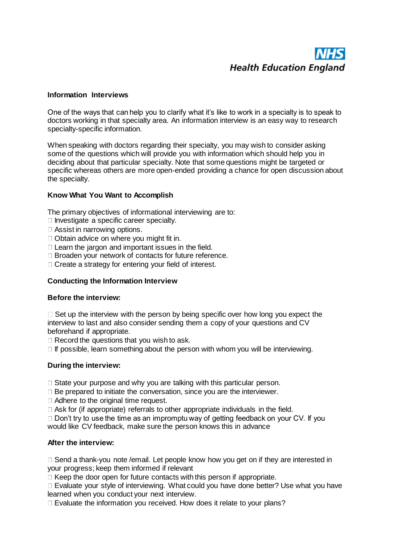# **Health Education England**

#### **Information Interviews**

One of the ways that can help you to clarify what it's like to work in a specialty is to speak to doctors working in that specialty area. An information interview is an easy way to research specialty-specific information.

When speaking with doctors regarding their specialty, you may wish to consider asking some of the questions which will provide you with information which should help you in deciding about that particular specialty. Note that some questions might be targeted or specific whereas others are more open-ended providing a chance for open discussion about the specialty.

# **Know What You Want to Accomplish**

The primary objectives of informational interviewing are to:

- $\Box$  Investigate a specific career specialty.
- Assist in narrowing options.
- □ Obtain advice on where you might fit in.
- $\Box$  Learn the jargon and important issues in the field.
- □ Broaden your network of contacts for future reference.
- $\Box$  Create a strategy for entering your field of interest.

# **Conducting the Information Interview**

#### **Before the interview:**

 $\Box$  Set up the interview with the person by being specific over how long you expect the interview to last and also consider sending them a copy of your questions and CV beforehand if appropriate.

 $\Box$  Record the questions that you wish to ask.

 $\Box$  If possible, learn something about the person with whom you will be interviewing.

#### **During the interview:**

 $\Box$  State your purpose and why you are talking with this particular person.

 $\Box$  Be prepared to initiate the conversation, since you are the interviewer.

□ Adhere to the original time request.

 $\Box$  Ask for (if appropriate) referrals to other appropriate individuals in the field.

 $\Box$  Don't try to use the time as an impromptu way of getting feedback on your CV. If you would like CV feedback, make sure the person knows this in advance

#### **After the interview:**

 $\Box$  Send a thank-you note /email. Let people know how you get on if they are interested in your progress; keep them informed if relevant

 $\Box$  Keep the door open for future contacts with this person if appropriate.

 $\Box$  Evaluate your style of interviewing. What could you have done better? Use what you have learned when you conduct your next interview.

 $\Box$  Evaluate the information you received. How does it relate to your plans?